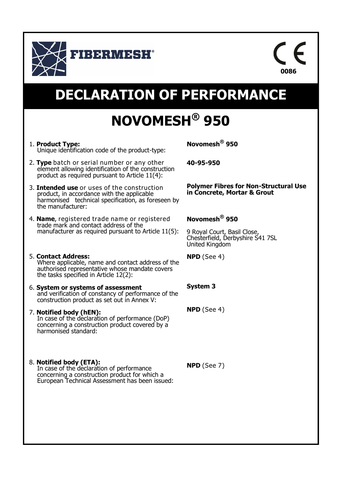



# **DECLARATION OF PERFORMANCE**

# **NOVOMESH® 950**

- 1. **Product Type:** Unique identification code of the product-type:
- 2. **Type** batch or serial number or any other element allowing identification of the construction product as required pursuant to Article 11(4):
- 3. **Intended use** or uses of the construction product, in accordance with the applicable harmonised technical specification, as foreseen by the manufacturer:
- 4. **Name**, registered trade name or registered trade mark and contact address of the manufacturer as required pursuant to Article 11(5):
- 5. **Contact Address:** Where applicable, name and contact address of the authorised representative whose mandate covers the tasks specified in Article 12(2):
- 6. **System or systems of assessment**  and verification of constancy of performance of the construction product as set out in Annex V:
- 7. **Notified body (hEN):** In case of the declaration of performance (DoP) concerning a construction product covered by a harmonised standard:
- 8. **Notified body (ETA):** In case of the declaration of performance concerning a construction product for which a European Technical Assessment has been issued:

**Novomesh® 950**

**40-95-950**

**Polymer Fibres for Non-Structural Use in Concrete, Mortar & Grout**

## **Novomesh® 950**

9 Royal Court, Basil Close, Chesterfield, Derbyshire S41 7SL United Kingdom

**NPD** (See 4)

### **System 3**

**NPD** (See 4)

**NPD** (See 7)